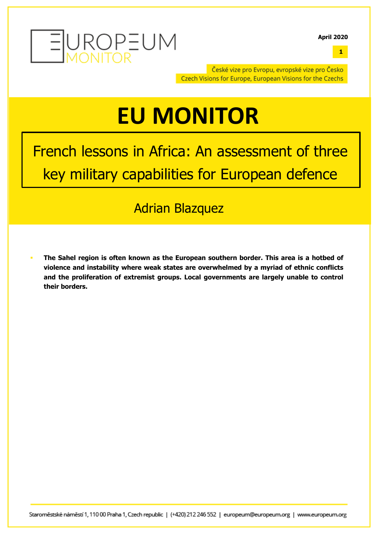

**April 2020**

**1**

České vize pro Evropu, evropské vize pro Česko Czech Visions for Europe, European Visions for the Czechs

# **EU MONITOR**

French lessons in Africa: An assessment of three key military capabilities for European defence

# Adrian Blazquez

§ **The Sahel region is often known as the European southern border. This area is a hotbed of violence and instability where weak states are overwhelmed by a myriad of ethnic conflicts and the proliferation of extremist groups. Local governments are largely unable to control their borders.**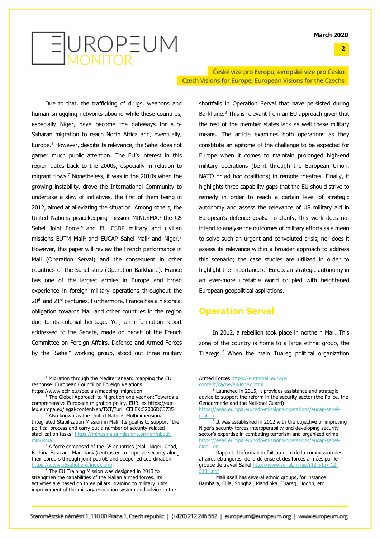**2**

# EUROPEUM

Due to that, the trafficking of drugs, weapons and human smuggling networks abound while these countries, especially Niger, have become the gateways for sub-Saharan migration to reach North Africa and, eventually, Europe. <sup>1</sup> However, despite its relevance, the Sahel does not garner much public attention. The EU's interest in this region dates back to the 2000s, especially in relation to migrant flows. <sup>2</sup> Nonetheless, it was in the 2010s when the growing instability, drove the International Community to undertake a slew of initiatives, the first of them being in 2012, aimed at alleviating the situation. Among others, the United Nations peacekeeping mission MINUSMA,<sup>3</sup> the G5 Sahel Joint Force<sup>4</sup> and EU CSDP military and civilian missions EUTM Mali<sup>5</sup> and EUCAP Sahel Mali<sup>6</sup> and Niger.<sup>7</sup> However, this paper will review the French performance in Mali (Operation Serval) and the consequent in other countries of the Sahel strip (Operation Barkhane). France has one of the largest armies in Europe and broad experience in foreign military operations throughout the 20<sup>th</sup> and 21<sup>st</sup> centuries. Furthermore, France has a historical obligation towards Mali and other countries in the region due to its colonial heritage. Yet, an information report addressed to the Senate, made on behalf of the French Committee on Foreign Affairs, Defence and Armed Forces by the "Sahel" working group, stood out three military

České vize pro Evropu, evropské vize pro Česko Czech Visions for Europe, European Visions for the Czechs

> shortfalls in Operation Serval that have persisted during Barkhane. <sup>8</sup> This is relevant from an EU approach given that the rest of the member states lack as well these military means. The article examines both operations as they constitute an epitome of the challenge to be expected for Europe when it comes to maintain prolonged high-end military operations (be it through the European Union, NATO or ad hoc coalitions) in remote theatres. Finally, it highlights three capability gaps that the EU should strive to remedy in order to reach a certain level of strategic autonomy and assess the relevance of US military aid in European's defence goals. To clarify, this work does not intend to analyse the outcomes of military efforts as a mean to solve such an urgent and convoluted crisis, nor does it assess its relevance within a broader approach to address this scenario; the case studies are utilized in order to highlight the importance of European strategic autonomy in an ever-more unstable world coupled with heightened European geopolitical aspirations.

### **Operation Serval**

In 2012, a rebellion took place in northern Mali. This zone of the country is home to a large ethnic group, the Tuaregs. <sup>9</sup> When the main Tuareg political organization

 $1$  Migration through the Mediterranean: mapping the EU response. European Council on Foreign Relations https://www.ecfr.eu/specials/mapping\_migration

 $2^{2}$  The Global Approach to Migration one year on: Towards a comprehensive European migration policy. EUR-lex https://eurlex.europa.eu/legal-content/en/TXT/?uri=CELEX:52006DC0735

<sup>&</sup>lt;sup>3</sup> Also known as the United Nations Multidimensional Integrated Stabilization Mission in Mali. Its goal is to support "the political process and carry out a number of security-related stabilization tasks" https://minusma.unmissions.org/en/aboutminusm

 $4\overline{A}$  force composed of the G5 countries (Mali, Niger, Chad, Burkina Faso and Mauritania) entrusted to improve security along their borders through joint patrols and deepened coordination https://www.g5sahel.org/index.php

<sup>&</sup>lt;sup>5</sup> The EU Training Mission was designed in 2013 to strengthen the capabilities of the Malian armed forces. Its activities are based on three pillars: training to military units, improvement of the military education system and advice to the

Armed Forces https://eutmmali.eu/wpcontent/cache/all/index.html

<sup>&</sup>lt;sup>6</sup> Launched in 2015, it provides assistance and strategic advice to support the reform in the security sector (the Police, the Gendarmerie and the National Guard)

https://eeas.europa.eu/csdp-missions-operations/eucap-sahel- $\frac{\text{mali\_fr}}{7}$  It was established in 2012 with the objective of improving

Niger's security forces interoperability and developing security sector's expertise in combating terrorism and organized crime https://eeas.europa.eu/csdp-missions-operations/eucap-sahel-

niger\_en<br><sup>8</sup> Rapport d'information fait au nom de la commission des affaires étrangères, de la défense et des forces armées par le groupe de travail Sahel http://www.senat.fr/rap/r12-513/r12-5131.pd

 $9$  Mali itself has several ethnic groups, for instance: Bambara, Fula, Songhai, Mandinka, Tuareg, Dogon, etc.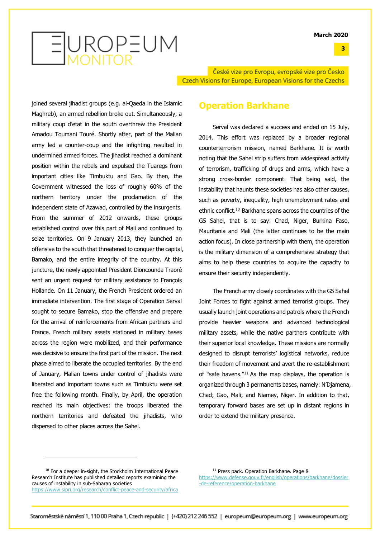

České vize pro Evropu, evropské vize pro Česko Czech Visions for Europe, European Visions for the Czechs

joined several jihadist groups (e.g. al-Qaeda in the Islamic Maghreb), an armed rebellion broke out. Simultaneously, a military coup d'etat in the south overthrew the President Amadou Toumani Touré. Shortly after, part of the Malian army led a counter-coup and the infighting resulted in undermined armed forces. The jihadist reached a dominant position within the rebels and expulsed the Tuaregs from important cities like Timbuktu and Gao. By then, the Government witnessed the loss of roughly 60% of the northern territory under the proclamation of the independent state of Azawad, controlled by the insurgents. From the summer of 2012 onwards, these groups established control over this part of Mali and continued to seize territories. On 9 January 2013, they launched an offensive to the south that threatened to conquer the capital, Bamako, and the entire integrity of the country. At this juncture, the newly appointed President Dioncounda Traoré sent an urgent request for military assistance to François Hollande. On 11 January, the French President ordered an immediate intervention. The first stage of Operation Serval sought to secure Bamako, stop the offensive and prepare for the arrival of reinforcements from African partners and France. French military assets stationed in military bases across the region were mobilized, and their performance was decisive to ensure the first part of the mission. The next phase aimed to liberate the occupied territories. By the end of January, Malian towns under control of jihadists were liberated and important towns such as Timbuktu were set free the following month. Finally, by April, the operation reached its main objectives: the troops liberated the northern territories and defeated the jihadists, who dispersed to other places across the Sahel.

### **Operation Barkhane**

Serval was declared a success and ended on 15 July, 2014. This effort was replaced by a broader regional counterterrorism mission, named Barkhane. It is worth noting that the Sahel strip suffers from widespread activity of terrorism, trafficking of drugs and arms, which have a strong cross-border component. That being said, the instability that haunts these societies has also other causes, such as poverty, inequality, high unemployment rates and ethnic conflict. <sup>10</sup> Barkhane spans across the countries of the G5 Sahel, that is to say: Chad, Niger, Burkina Faso, Mauritania and Mali (the latter continues to be the main action focus). In close partnership with them, the operation is the military dimension of a comprehensive strategy that aims to help these countries to acquire the capacity to ensure their security independently.

The French army closely coordinates with the G5 Sahel Joint Forces to fight against armed terrorist groups. They usually launch joint operations and patrols where the French provide heavier weapons and advanced technological military assets, while the native partners contribute with their superior local knowledge. These missions are normally designed to disrupt terrorists' logistical networks, reduce their freedom of movement and avert the re-establishment of "safe havens."11 As the map displays, the operation is organized through 3 permanents bases, namely: N'Djamena, Chad; Gao, Mali; and Niamey, Niger. In addition to that, temporary forward bases are set up in distant regions in order to extend the military presence.

<sup>11</sup> Press pack. Operation Barkhane. Page 8 https://www.defense.gouv.fr/english/operations/barkhane/dossier -de-reference/operation-barkhane

<sup>&</sup>lt;sup>10</sup> For a deeper in-sight, the Stockholm International Peace Research Institute has published detailed reports examining the causes of instability in sub-Saharan societies https://www.sipri.org/research/conflict-peace-and-security/africa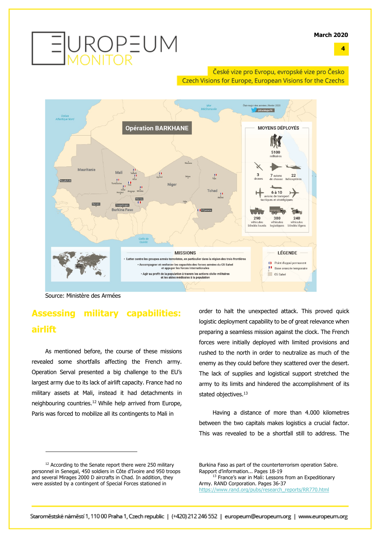

### České vize pro Evropu, evropské vize pro Česko Czech Visions for Europe, European Visions for the Czechs



Source: Ministère des Armées

### **Assessing military capabilities: airlift**

As mentioned before, the course of these missions revealed some shortfalls affecting the French army. Operation Serval presented a big challenge to the EU's largest army due to its lack of airlift capacity. France had no military assets at Mali, instead it had detachments in neighbouring countries. <sup>12</sup> While help arrived from Europe, Paris was forced to mobilize all its contingents to Mali in

order to halt the unexpected attack. This proved quick logistic deployment capability to be of great relevance when preparing a seamless mission against the clock. The French forces were initially deployed with limited provisions and rushed to the north in order to neutralize as much of the enemy as they could before they scattered over the desert. The lack of supplies and logistical support stretched the army to its limits and hindered the accomplishment of its stated objectives.<sup>13</sup>

Having a distance of more than 4.000 kilometres between the two capitals makes logistics a crucial factor. This was revealed to be a shortfall still to address. The

Burkina Faso as part of the counterterrorism operation Sabre. Rapport d'information... Pages 18-19

<sup>13</sup> France's war in Mali: Lessons from an Expeditionary Army. RAND Corporation. Pages 36-37 https://www.rand.org/pubs/research\_reports/RR770.html

**4**

<sup>&</sup>lt;sup>12</sup> According to the Senate report there were 250 military personnel in Senegal, 450 soldiers in Côte d'Ivoire and 950 troops and several Mirages 2000 D aircrafts in Chad. In addition, they were assisted by a contingent of Special Forces stationed in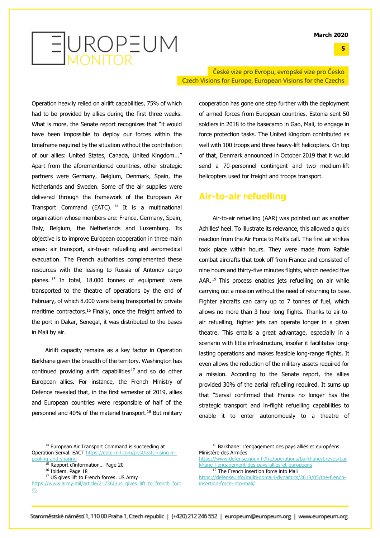**5**

# EUROPEUM

Operation heavily relied on airlift capabilities, 75% of which had to be provided by allies during the first three weeks. What is more, the Senate report recognizes that "it would have been impossible to deploy our forces within the timeframe required by the situation without the contribution of our allies: United States, Canada, United Kingdom..." Apart from the aforementioned countries, other strategic partners were Germany, Belgium, Denmark, Spain, the Netherlands and Sweden. Some of the air supplies were delivered through the framework of the European Air Transport Command (EATC). <sup>14</sup> It is a multinational organization whose members are: France, Germany, Spain, Italy, Belgium, the Netherlands and Luxemburg. Its objective is to improve European cooperation in three main areas: air transport, air-to-air refuelling and aeromedical evacuation. The French authorities complemented these resources with the leasing to Russia of Antonov cargo planes. <sup>15</sup> In total, 18.000 tonnes of equipment were transported to the theatre of operations by the end of February, of which 8.000 were being transported by private maritime contractors.<sup>16</sup> Finally, once the freight arrived to the port in Dakar, Senegal, it was distributed to the bases in Mali by air.

Airlift capacity remains as a key factor in Operation Barkhane given the breadth of the territory. Washington has continued providing airlift capabilities<sup>17</sup> and so do other European allies. For instance, the French Ministry of Defence revealed that, in the first semester of 2019, allies and European countries were responsible of half of the personnel and 40% of the materiel transport. <sup>18</sup> But military

### České vize pro Evropu, evropské vize pro Česko Czech Visions for Europe, European Visions for the Czechs

cooperation has gone one step further with the deployment of armed forces from European countries. Estonia sent 50 soldiers in 2018 to the basecamp in Gao, Mali, to engage in force protection tasks. The United Kingdom contributed as well with 100 troops and three heavy-lift helicopters. On top of that, Denmark announced in October 2019 that it would send a 70-personnel contingent and two medium-lift helicopters used for freight and troops transport.

### **Air-to-air refuelling**

Air-to-air refuelling (AAR) was pointed out as another Achilles' heel. To illustrate its relevance, this allowed a quick reaction from the Air Force to Mali's call. The first air strikes took place within hours. They were made from Rafale combat aircrafts that took off from France and consisted of nine hours and thirty-five minutes flights, which needed five AAR.<sup>19</sup> This process enables jets refuelling on air while carrying out a mission without the need of returning to base. Fighter aircrafts can carry up to 7 tonnes of fuel, which allows no more than 3 hour-long flights. Thanks to air-toair refuelling, fighter jets can operate longer in a given theatre. This entails a great advantage, especially in a scenario with little infrastructure, insofar it facilitates longlasting operations and makes feasible long-range flights. It even allows the reduction of the military assets required for a mission. According to the Senate report, the allies provided 30% of the aerial refuelling required. It sums up that "Serval confirmed that France no longer has the strategic transport and in-flight refuelling capabilities to enable it to enter autonomously to a theatre of

<sup>&</sup>lt;sup>14</sup> European Air Transport Command is succeeding at Operation Serval. EACT https://eatc-mil.com/post/eatc-rising-inpooling-and-sharing

<sup>15</sup> Rapport d'information… Page 20

<sup>&</sup>lt;sup>16</sup> Ibidem. Page 18

<sup>&</sup>lt;sup>17</sup> US gives lift to French forces. US Army

https://www.army.mil/article/217360/us\_gives\_lift\_to\_french\_forc es

<sup>&</sup>lt;sup>18</sup> Barkhane: L'engagement des pays alliés et européens. Ministère des Armées

https://www.defense.gouv.fr/fre/operations/barkhane/breves/bar khane-l-engagement-des-pays-allies-et-europeens

<sup>&</sup>lt;sup>19</sup> The French insertion force into Mali

https://defense.info/multi-domain-dynamics/2018/05/the-frenchinsertion-force-into-mali/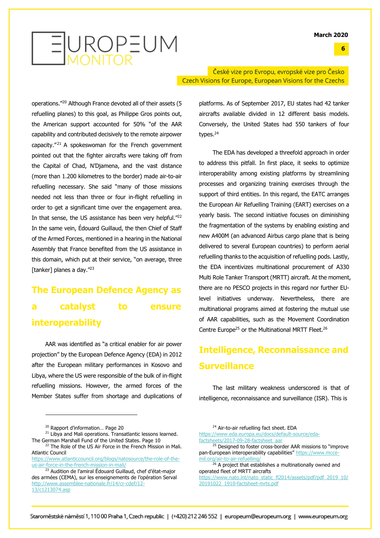**6**



operations."20 Although France devoted all of their assets (5 refuelling planes) to this goal, as Philippe Gros points out, the American support accounted for 50% "of the AAR capability and contributed decisively to the remote airpower capacity."<sup>21</sup> A spokeswoman for the French government pointed out that the fighter aircrafts were taking off from the Capital of Chad, N'Djamena, and the vast distance (more than 1.200 kilometres to the border) made air-to-air refuelling necessary. She said "many of those missions needed not less than three or four in-flight refuelling in order to get a significant time over the engagement area. In that sense, the US assistance has been very helpful."<sup>22</sup> In the same vein, Édouard Guillaud, the then Chief of Staff of the Armed Forces, mentioned in a hearing in the National Assembly that France benefited from the US assistance in this domain, which put at their service, "on average, three [tanker] planes a day."<sup>23</sup>

# **The European Defence Agency as a catalyst to ensure interoperability**

AAR was identified as "a critical enabler for air power projection" by the European Defence Agency (EDA) in 2012 after the European military performances in Kosovo and Libya, where the US were responsible of the bulk of in-flight refuelling missions. However, the armed forces of the Member States suffer from shortage and duplications of

<sup>21</sup> Libya and Mali operations. Transatlantic lessons learned. The German Marshall Fund of the United States. Page 10

České vize pro Evropu, evropské vize pro Česko Czech Visions for Europe, European Visions for the Czechs

> platforms. As of September 2017, EU states had 42 tanker aircrafts available divided in 12 different basis models. Conversely, the United States had 550 tankers of four types. 24

> The EDA has developed a threefold approach in order to address this pitfall. In first place, it seeks to optimize interoperability among existing platforms by streamlining processes and organizing training exercises through the support of third entities. In this regard, the EATC arranges the European Air Refuelling Training (EART) exercises on a yearly basis. The second initiative focuses on diminishing the fragmentation of the systems by enabling existing and new A400M (an advanced Airbus cargo plane that is being delivered to several European countries) to perform aerial refuelling thanks to the acquisition of refuelling pods. Lastly, the EDA incentivizes multinational procurement of A330 Multi Role Tanker Transport (MRTT) aircraft. At the moment, there are no PESCO projects in this regard nor further EUlevel initiatives underway. Nevertheless, there are multinational programs aimed at fostering the mutual use of AAR capabilities, such as the Movement Coordination Centre Europe<sup>25</sup> or the Multinational MRTT Fleet.<sup>26</sup>

## **Intelligence, Reconnaissance and Surveillance**

The last military weakness underscored is that of intelligence, reconnaissance and surveillance (ISR). This is

https://www.eda.europa.eu/docs/default-source/edafactsheets/2017-09-28-factsheet\_aar

<sup>20</sup> Rapport d'information… Page 20

<sup>&</sup>lt;sup>22</sup> The Role of the US Air Force in the French Mission in Mali. Atlantic Council

https://www.atlanticcouncil.org/blogs/natosource/the-role-of-theus-air-force-in-the-french-mission-in-mali/

<sup>&</sup>lt;sup>23</sup> Audition de l'amiral Édouard Guillaud, chef d'état-major des armées (CEMA), sur les enseignements de l'opération Serval http://www.assemblee-nationale.fr/14/cr-cdef/12- 13/c1213074.asp

<sup>&</sup>lt;sup>24</sup> Air-to-air refuelling fact sheet. EDA

<sup>&</sup>lt;sup>25</sup> Designed to foster cross-border AAR missions to "improve pan-European interoperability capabilities" https://www.mccemil.org/air-to-air-refuelling/

<sup>&</sup>lt;sup>26</sup> A project that establishes a multinationally owned and operated fleet of MRTT aircrafts

https://www.nato.int/nato\_static\_fl2014/assets/pdf/pdf\_2019\_10/ 20191022\_1910-factsheet-mrts.pdf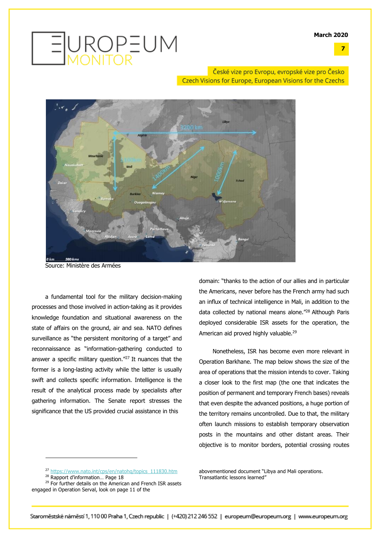**7**



České vize pro Evropu, evropské vize pro Česko Czech Visions for Europe, European Visions for the Czechs



Source: Ministère des Armées

a fundamental tool for the military decision-making processes and those involved in action-taking as it provides knowledge foundation and situational awareness on the state of affairs on the ground, air and sea. NATO defines surveillance as "the persistent monitoring of a target" and reconnaissance as "information-gathering conducted to answer a specific military question."27 It nuances that the former is a long-lasting activity while the latter is usually swift and collects specific information. Intelligence is the result of the analytical process made by specialists after gathering information. The Senate report stresses the significance that the US provided crucial assistance in this

domain: "thanks to the action of our allies and in particular the Americans, never before has the French army had such an influx of technical intelligence in Mali, in addition to the data collected by national means alone."28 Although Paris deployed considerable ISR assets for the operation, the American aid proved highly valuable.<sup>29</sup>

Nonetheless, ISR has become even more relevant in Operation Barkhane. The map below shows the size of the area of operations that the mission intends to cover. Taking a closer look to the first map (the one that indicates the position of permanent and temporary French bases) reveals that even despite the advanced positions, a huge portion of the territory remains uncontrolled. Due to that, the military often launch missions to establish temporary observation posts in the mountains and other distant areas. Their objective is to monitor borders, potential crossing routes

<sup>28</sup> Rapport d'information… Page 18

<sup>27</sup> https://www.nato.int/cps/en/natohq/topics\_111830.htm

<sup>&</sup>lt;sup>29</sup> For further details on the American and French ISR assets engaged in Operation Serval, look on page 11 of the

abovementioned document "Libya and Mali operations. Transatlantic lessons learned"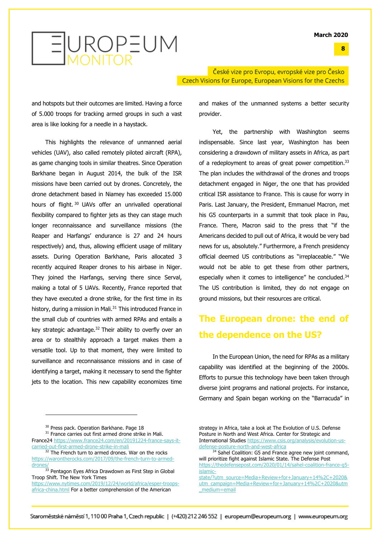

České vize pro Evropu, evropské vize pro Česko Czech Visions for Europe, European Visions for the Czechs

and hotspots but their outcomes are limited. Having a force of 5.000 troops for tracking armed groups in such a vast area is like looking for a needle in a haystack.

This highlights the relevance of unmanned aerial vehicles (UAV), also called remotely piloted aircraft (RPA), as game changing tools in similar theatres. Since Operation Barkhane began in August 2014, the bulk of the ISR missions have been carried out by drones. Concretely, the drone detachment based in Niamey has exceeded 15.000 hours of flight.<sup>30</sup> UAVs offer an unrivalled operational flexibility compared to fighter jets as they can stage much longer reconnaissance and surveillance missions (the Reaper and Harfangs' endurance is 27 and 24 hours respectively) and, thus, allowing efficient usage of military assets. During Operation Barkhane, Paris allocated 3 recently acquired Reaper drones to his airbase in Niger. They joined the Harfangs, serving there since Serval, making a total of 5 UAVs. Recently, France reported that they have executed a drone strike, for the first time in its history, during a mission in Mali.<sup>31</sup> This introduced France in the small club of countries with armed RPAs and entails a key strategic advantage. <sup>32</sup> Their ability to overfly over an area or to stealthily approach a target makes them a versatile tool. Up to that moment, they were limited to surveillance and reconnaissance missions and in case of identifying a target, making it necessary to send the fighter jets to the location. This new capability economizes time and makes of the unmanned systems a better security provider.

Yet, the partnership with Washington seems indispensable. Since last year, Washington has been considering a drawdown of military assets in Africa, as part of a redeployment to areas of great power competition.<sup>33</sup> The plan includes the withdrawal of the drones and troops detachment engaged in Niger, the one that has provided critical ISR assistance to France. This is cause for worry in Paris. Last January, the President, Emmanuel Macron, met his G5 counterparts in a summit that took place in Pau, France. There, Macron said to the press that "if the Americans decided to pull out of Africa, it would be very bad news for us, absolutely." Furthermore, a French presidency official deemed US contributions as "irreplaceable." "We would not be able to get these from other partners, especially when it comes to intelligence" he concluded.<sup>34</sup> The US contribution is limited, they do not engage on ground missions, but their resources are critical.

## **The European drone: the end of the dependence on the US?**

In the European Union, the need for RPAs as a military capability was identified at the beginning of the 2000s. Efforts to pursue this technology have been taken through diverse joint programs and national projects. For instance, Germany and Spain began working on the "Barracuda" in

<sup>31</sup> France carries out first armed drone strike in Mali.

France24 https://www.france24.com/en/20191224-france-says-itcarried-out-first-armed-drone-strike-in-mali

drones/<sub>33</sub> Pentagon Eyes Africa Drawdown as First Step in Global Troop Shift. The New York Times

https://www.nytimes.com/2019/12/24/world/africa/esper-troopsafrica-china.html For a better comprehension of the American

strategy in Africa, take a look at The Evolution of U.S. Defense Posture in North and West Africa. Center for Strategic and International Studies https://www.csis.org/analysis/evolution-usdefense-posture-north-and-west-africa

<sup>&</sup>lt;sup>30</sup> Press pack. Operation Barkhane. Page 18

<sup>&</sup>lt;sup>32</sup> The French turn to armed drones. War on the rocks https://warontherocks.com/2017/09/the-french-turn-to-armed-

<sup>&</sup>lt;sup>34</sup> Sahel Coalition: G5 and France agree new joint command, will prioritize fight against Islamic State. The Defense Post https://thedefensepost.com/2020/01/14/sahel-coalition-france-g5 islamic-

state/?utm\_source=Media+Review+for+January+14%2C+2020& utm\_campaign=Media+Review+for+January+14%2C+2020&utm \_medium=email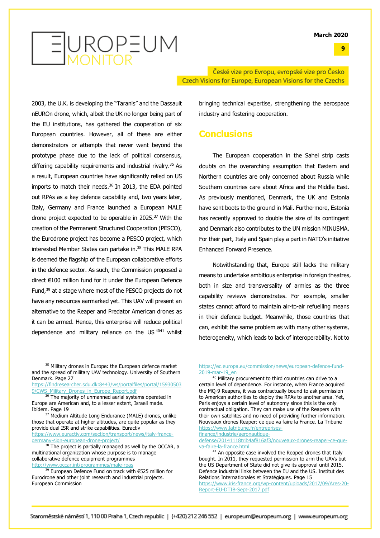**9**



České vize pro Evropu, evropské vize pro Česko Czech Visions for Europe, European Visions for the Czechs

2003, the U.K. is developing the "Taranis" and the Dassault nEUROn drone, which, albeit the UK no longer being part of the EU institutions, has gathered the cooperation of six European countries. However, all of these are either demonstrators or attempts that never went beyond the prototype phase due to the lack of political consensus, differing capability requirements and industrial rivalry. <sup>35</sup> As a result, European countries have significantly relied on US imports to match their needs. <sup>36</sup> In 2013, the EDA pointed out RPAs as a key defence capability and, two years later, Italy, Germany and France launched a European MALE drone project expected to be operable in 2025. <sup>37</sup> With the creation of the Permanent Structured Cooperation (PESCO), the Eurodrone project has become a PESCO project, which interested Member States can partake in. <sup>38</sup> This MALE RPA is deemed the flagship of the European collaborative efforts in the defence sector. As such, the Commission proposed a direct €100 million fund for it under the European Defence Fund,<sup>39</sup> at a stage where most of the PESCO projects do not have any resources earmarked yet. This UAV will present an alternative to the Reaper and Predator American drones as it can be armed. Hence, this enterprise will reduce political dependence and military reliance on the US<sup>4041</sup> whilst

https://findresearcher.sdu.dk:8443/ws/portalfiles/portal/15930503 9/CWS Military Drones in Europe Report.pdf

<sup>37</sup> Medium Altitude Long Endurance (MALE) drones, unlike those that operate at higher altitudes, are quite popular as they provide dual ISR and strike capabilities. Euractiv https://www.euractiv.com/section/transport/news/italy-france-

germany-sign-european-drone-project/

bringing technical expertise, strengthening the aerospace industry and fostering cooperation.

### **Conclusions**

The European cooperation in the Sahel strip casts doubts on the overarching assumption that Eastern and Northern countries are only concerned about Russia while Southern countries care about Africa and the Middle East. As previously mentioned, Denmark, the UK and Estonia have sent boots to the ground in Mali. Furthermore, Estonia has recently approved to double the size of its contingent and Denmark also contributes to the UN mission MINUSMA. For their part, Italy and Spain play a part in NATO's initiative Enhanced Forward Presence.

Notwithstanding that, Europe still lacks the military means to undertake ambitious enterprise in foreign theatres, both in size and transversality of armies as the three capability reviews demonstrates. For example, smaller states cannot afford to maintain air-to-air refuelling means in their defence budget. Meanwhile, those countries that can, exhibit the same problem as with many other systems, heterogeneity, which leads to lack of interoperability. Not to

finance/industrie/aeronautique-

defense/20141118trib4af816af3/nouveaux-drones-reaper-ce-queva-faire-la-france.html

<sup>&</sup>lt;sup>35</sup> Military drones in Europe: the European defence market and the spread of military UAV technology. University of Southern Denmark. Page 27

<sup>&</sup>lt;sup>36</sup> The majority of unmanned aerial systems operated in Europe are American and, to a lesser extent, Israeli made. Ibídem. Page 19

<sup>&</sup>lt;sup>38</sup> The project is partially managed as well by the OCCAR, a multinational organization whose purpose is to manage collaborative defence equipment programmes http://www.occar.int/programmes/male-rpas

<sup>39</sup> European Defence Fund on track with €525 million for Eurodrone and other joint research and industrial projects. European Commission

https://ec.europa.eu/commission/news/european-defence-fund-2019-mar-19\_en

<sup>&</sup>lt;sup>40</sup> Military procurement to third countries can drive to a certain level of dependence. For instance, when France acquired the MQ-9 Reapers, it was contractually bound to ask permission to American authorities to deploy the RPAs to another area. Yet, Paris enjoys a certain level of autonomy since this is the only contractual obligation. They can make use of the Reapers with their own satellites and no need of providing further information. Nouveaux drones Reaper: ce que va faire la France. La Tribune https://www.latribune.fr/entreprises-

 $41$  An opposite case involved the Reaped drones that Italy bought. In 2011, they requested permission to arm the UAVs but the US Department of State did not give its approval until 2015. Defence industrial links between the EU and the US. Institut des Relations Internationales et Stratégiques. Page 15 https://www.iris-france.org/wp-content/uploads/2017/09/Ares-20- Report-EU-DTIB-Sept-2017.pdf